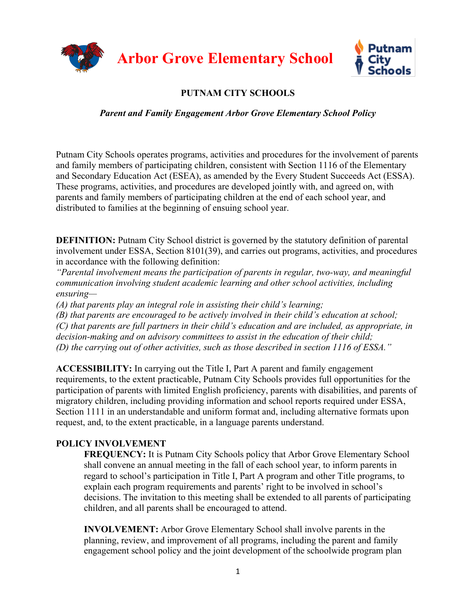

# **PUTNAM CITY SCHOOLS**

## *Parent and Family Engagement Arbor Grove Elementary School Policy*

Putnam City Schools operates programs, activities and procedures for the involvement of parents and family members of participating children, consistent with Section 1116 of the Elementary and Secondary Education Act (ESEA), as amended by the Every Student Succeeds Act (ESSA). These programs, activities, and procedures are developed jointly with, and agreed on, with parents and family members of participating children at the end of each school year, and distributed to families at the beginning of ensuing school year.

**DEFINITION:** Putnam City School district is governed by the statutory definition of parental involvement under ESSA, Section 8101(39), and carries out programs, activities, and procedures in accordance with the following definition:

*"Parental involvement means the participation of parents in regular, two-way, and meaningful communication involving student academic learning and other school activities, including ensuring—*

*(A) that parents play an integral role in assisting their child's learning;* 

*(B) that parents are encouraged to be actively involved in their child's education at school; (C) that parents are full partners in their child's education and are included, as appropriate, in decision-making and on advisory committees to assist in the education of their child; (D) the carrying out of other activities, such as those described in section 1116 of ESSA."*

**ACCESSIBILITY:** In carrying out the Title I, Part A parent and family engagement requirements, to the extent practicable, Putnam City Schools provides full opportunities for the participation of parents with limited English proficiency, parents with disabilities, and parents of migratory children, including providing information and school reports required under ESSA, Section 1111 in an understandable and uniform format and, including alternative formats upon request, and, to the extent practicable, in a language parents understand.

## **POLICY INVOLVEMENT**

**FREQUENCY:** It is Putnam City Schools policy that Arbor Grove Elementary School shall convene an annual meeting in the fall of each school year, to inform parents in regard to school's participation in Title I, Part A program and other Title programs, to explain each program requirements and parents' right to be involved in school's decisions. The invitation to this meeting shall be extended to all parents of participating children, and all parents shall be encouraged to attend.

**INVOLVEMENT:** Arbor Grove Elementary School shall involve parents in the planning, review, and improvement of all programs, including the parent and family engagement school policy and the joint development of the schoolwide program plan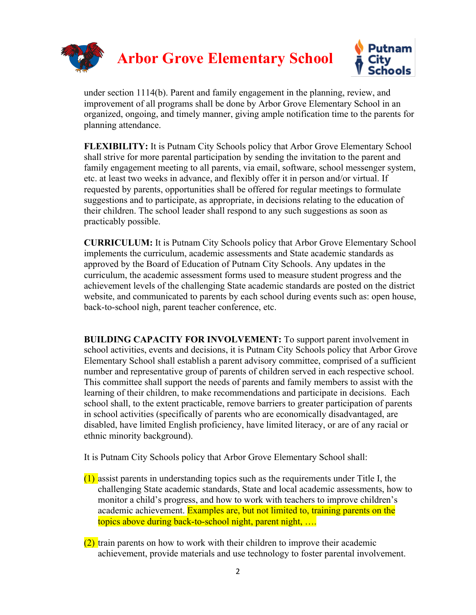

under section 1114(b). Parent and family engagement in the planning, review, and improvement of all programs shall be done by Arbor Grove Elementary School in an organized, ongoing, and timely manner, giving ample notification time to the parents for planning attendance.

**FLEXIBILITY:** It is Putnam City Schools policy that Arbor Grove Elementary School shall strive for more parental participation by sending the invitation to the parent and family engagement meeting to all parents, via email, software, school messenger system, etc. at least two weeks in advance, and flexibly offer it in person and/or virtual. If requested by parents, opportunities shall be offered for regular meetings to formulate suggestions and to participate, as appropriate, in decisions relating to the education of their children. The school leader shall respond to any such suggestions as soon as practicably possible.

**CURRICULUM:** It is Putnam City Schools policy that Arbor Grove Elementary School implements the curriculum, academic assessments and State academic standards as approved by the Board of Education of Putnam City Schools. Any updates in the curriculum, the academic assessment forms used to measure student progress and the achievement levels of the challenging State academic standards are posted on the district website, and communicated to parents by each school during events such as: open house, back-to-school nigh, parent teacher conference, etc.

**BUILDING CAPACITY FOR INVOLVEMENT:** To support parent involvement in school activities, events and decisions, it is Putnam City Schools policy that Arbor Grove Elementary School shall establish a parent advisory committee, comprised of a sufficient number and representative group of parents of children served in each respective school. This committee shall support the needs of parents and family members to assist with the learning of their children, to make recommendations and participate in decisions. Each school shall, to the extent practicable, remove barriers to greater participation of parents in school activities (specifically of parents who are economically disadvantaged, are disabled, have limited English proficiency, have limited literacy, or are of any racial or ethnic minority background).

It is Putnam City Schools policy that Arbor Grove Elementary School shall:

- (1) assist parents in understanding topics such as the requirements under Title I, the challenging State academic standards, State and local academic assessments, how to monitor a child's progress, and how to work with teachers to improve children's academic achievement. Examples are, but not limited to, training parents on the topics above during back-to-school night, parent night, ….
- (2) train parents on how to work with their children to improve their academic achievement, provide materials and use technology to foster parental involvement.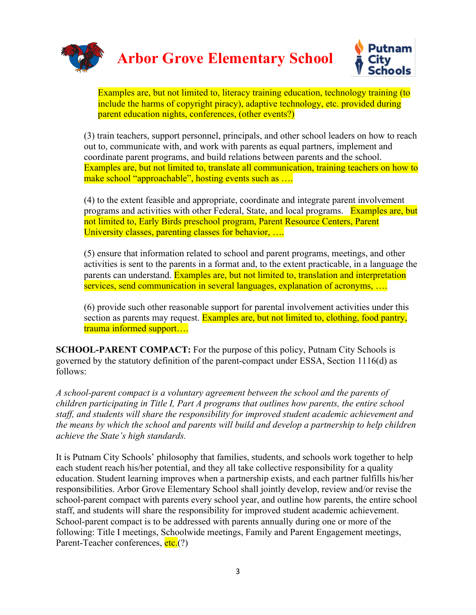



Examples are, but not limited to, literacy training education, technology training (to include the harms of copyright piracy), adaptive technology, etc. provided during parent education nights, conferences, (other events?)

(3) train teachers, support personnel, principals, and other school leaders on how to reach out to, communicate with, and work with parents as equal partners, implement and coordinate parent programs, and build relations between parents and the school. Examples are, but not limited to, translate all communication, training teachers on how to make school "approachable", hosting events such as ...

(4) to the extent feasible and appropriate, coordinate and integrate parent involvement programs and activities with other Federal, State, and local programs. Examples are, but not limited to, Early Birds preschool program, Parent Resource Centers, Parent University classes, parenting classes for behavior, ….

(5) ensure that information related to school and parent programs, meetings, and other activities is sent to the parents in a format and, to the extent practicable, in a language the parents can understand. Examples are, but not limited to, translation and interpretation services, send communication in several languages, explanation of acronyms, ….

(6) provide such other reasonable support for parental involvement activities under this section as parents may request. Examples are, but not limited to, clothing, food pantry, trauma informed support….

**SCHOOL-PARENT COMPACT:** For the purpose of this policy, Putnam City Schools is governed by the statutory definition of the parent-compact under ESSA, Section 1116(d) as follows:

*A school-parent compact is a voluntary agreement between the school and the parents of children participating in Title I, Part A programs that outlines how parents, the entire school staff, and students will share the responsibility for improved student academic achievement and the means by which the school and parents will build and develop a partnership to help children achieve the State's high standards.*

It is Putnam City Schools' philosophy that families, students, and schools work together to help each student reach his/her potential, and they all take collective responsibility for a quality education. Student learning improves when a partnership exists, and each partner fulfills his/her responsibilities. Arbor Grove Elementary School shall jointly develop, review and/or revise the school-parent compact with parents every school year, and outline how parents, the entire school staff, and students will share the responsibility for improved student academic achievement. School-parent compact is to be addressed with parents annually during one or more of the following: Title I meetings, Schoolwide meetings, Family and Parent Engagement meetings, Parent-Teacher conferences, etc.<sup>(?)</sup>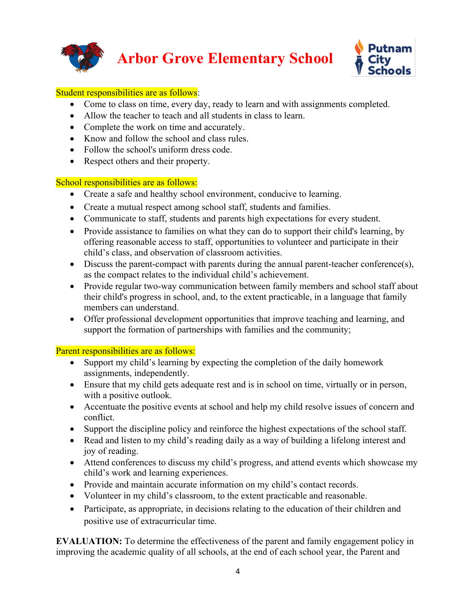



#### Student responsibilities are as follows:

- Come to class on time, every day, ready to learn and with assignments completed.
- Allow the teacher to teach and all students in class to learn.
- Complete the work on time and accurately.
- Know and follow the school and class rules.
- Follow the school's uniform dress code.
- Respect others and their property.

### School responsibilities are as follows:

- Create a safe and healthy school environment, conducive to learning.
- Create a mutual respect among school staff, students and families.
- Communicate to staff, students and parents high expectations for every student.
- Provide assistance to families on what they can do to support their child's learning, by offering reasonable access to staff, opportunities to volunteer and participate in their child's class, and observation of classroom activities.
- Discuss the parent-compact with parents during the annual parent-teacher conference(s), as the compact relates to the individual child's achievement.
- Provide regular two-way communication between family members and school staff about their child's progress in school, and, to the extent practicable, in a language that family members can understand.
- Offer professional development opportunities that improve teaching and learning, and support the formation of partnerships with families and the community;

### Parent responsibilities are as follows:

- Support my child's learning by expecting the completion of the daily homework assignments, independently.
- Ensure that my child gets adequate rest and is in school on time, virtually or in person, with a positive outlook.
- Accentuate the positive events at school and help my child resolve issues of concern and conflict.
- Support the discipline policy and reinforce the highest expectations of the school staff.
- Read and listen to my child's reading daily as a way of building a lifelong interest and joy of reading.
- Attend conferences to discuss my child's progress, and attend events which showcase my child's work and learning experiences.
- Provide and maintain accurate information on my child's contact records.
- Volunteer in my child's classroom, to the extent practicable and reasonable.
- Participate, as appropriate, in decisions relating to the education of their children and positive use of extracurricular time.

**EVALUATION:** To determine the effectiveness of the parent and family engagement policy in improving the academic quality of all schools, at the end of each school year, the Parent and